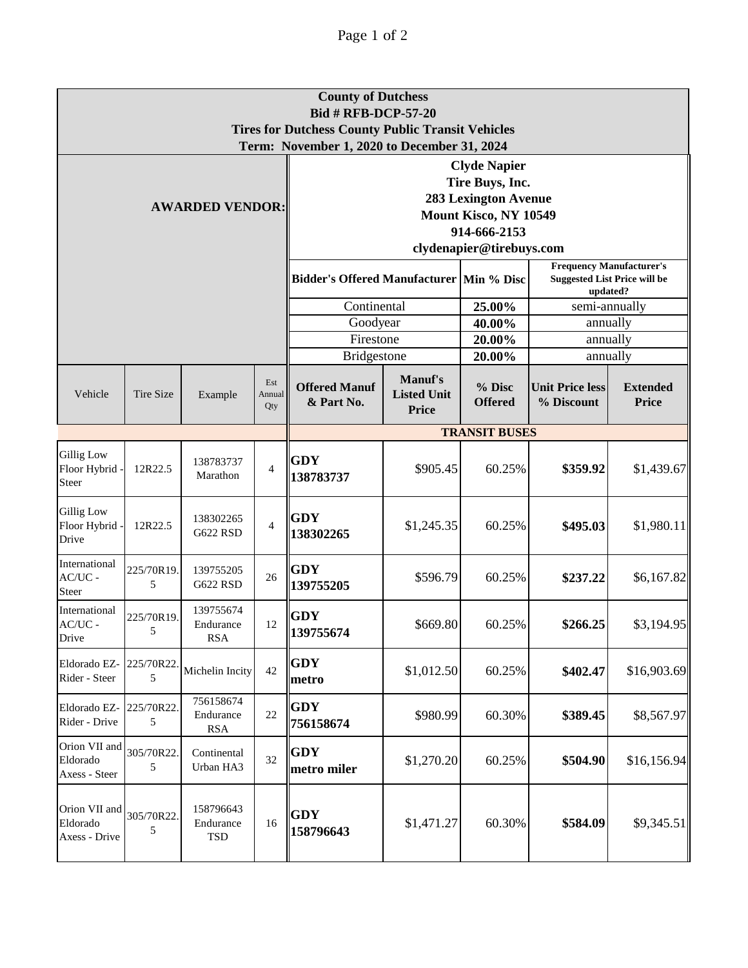|                                            |                  |                                      |                      | <b>County of Dutchess</b><br><b>Bid # RFB-DCP-57-20</b><br><b>Tires for Dutchess County Public Transit Vehicles</b><br>Term: November 1, 2020 to December 31, 2024 |                                                      |                                    |                                                                                    |                                 |  |  |
|--------------------------------------------|------------------|--------------------------------------|----------------------|--------------------------------------------------------------------------------------------------------------------------------------------------------------------|------------------------------------------------------|------------------------------------|------------------------------------------------------------------------------------|---------------------------------|--|--|
| <b>AWARDED VENDOR:</b>                     |                  |                                      |                      | <b>Clyde Napier</b><br>Tire Buys, Inc.<br><b>283 Lexington Avenue</b><br>Mount Kisco, NY 10549<br>914-666-2153<br>clydenapier@tirebuys.com                         |                                                      |                                    |                                                                                    |                                 |  |  |
|                                            |                  |                                      |                      | Bidder's Offered Manufacturer   Min % Disc                                                                                                                         |                                                      |                                    | <b>Frequency Manufacturer's</b><br><b>Suggested List Price will be</b><br>updated? |                                 |  |  |
|                                            |                  |                                      |                      | Continental                                                                                                                                                        |                                                      | 25.00%                             | semi-annually                                                                      |                                 |  |  |
|                                            |                  |                                      |                      | Goodyear                                                                                                                                                           |                                                      | 40.00%<br>20.00%                   | annually                                                                           |                                 |  |  |
|                                            |                  |                                      |                      |                                                                                                                                                                    | Firestone<br><b>Bridgestone</b>                      |                                    | annually<br>annually                                                               |                                 |  |  |
| Vehicle                                    | <b>Tire Size</b> | Example                              | Est<br>Annual<br>Qty | <b>Offered Manuf</b><br>& Part No.                                                                                                                                 | <b>Manuf's</b><br><b>Listed Unit</b><br><b>Price</b> | 20.00%<br>% Disc<br><b>Offered</b> | <b>Unit Price less</b><br>% Discount                                               | <b>Extended</b><br><b>Price</b> |  |  |
|                                            |                  |                                      |                      | <b>TRANSIT BUSES</b>                                                                                                                                               |                                                      |                                    |                                                                                    |                                 |  |  |
| <b>Gillig Low</b><br>Floor Hybrid<br>Steer | 12R22.5          | 138783737<br>Marathon                | $\overline{4}$       | <b>GDY</b><br>138783737                                                                                                                                            | \$905.45                                             | 60.25%                             | \$359.92                                                                           | \$1,439.67                      |  |  |
| <b>Gillig Low</b><br>Floor Hybrid<br>Drive | 12R22.5          | 138302265<br><b>G622 RSD</b>         | $\overline{4}$       | <b>GDY</b><br>138302265                                                                                                                                            | \$1,245.35                                           | 60.25%                             | \$495.03                                                                           | \$1,980.11                      |  |  |
| International<br>$AC/UC -$<br><b>Steer</b> | 225/70R19.<br>5  | 139755205<br><b>G622 RSD</b>         | 26                   | <b>GDY</b><br>139755205                                                                                                                                            | \$596.79                                             | 60.25%                             | \$237.22                                                                           | \$6,167.82                      |  |  |
| International<br>$AC/UC -$<br>Drive        | 225/70R19.<br>5  | 139755674<br>Endurance<br><b>RSA</b> | 12                   | <b>GDY</b><br>  139755674                                                                                                                                          | \$669.80                                             | 60.25%                             | \$266.25                                                                           | \$3,194.95                      |  |  |
| Eldorado EZ-<br>Rider - Steer              | 225/70R22<br>5   | Michelin Incity                      | 42                   | <b>GDY</b><br>metro                                                                                                                                                | \$1,012.50                                           | 60.25%                             | \$402.47                                                                           | \$16,903.69                     |  |  |
| Eldorado EZ-<br>Rider - Drive              | 225/70R22.<br>5  | 756158674<br>Endurance<br><b>RSA</b> | $22\,$               | <b>GDY</b><br>756158674                                                                                                                                            | \$980.99                                             | 60.30%                             | \$389.45                                                                           | \$8,567.97                      |  |  |
| Orion VII and<br>Eldorado<br>Axess - Steer | 305/70R22.<br>5  | Continental<br>Urban HA3             | 32                   | <b>GDY</b><br>metro miler                                                                                                                                          | \$1,270.20                                           | 60.25%                             | \$504.90                                                                           | \$16,156.94                     |  |  |
| Orion VII and<br>Eldorado<br>Axess - Drive | 305/70R22.<br>5  | 158796643<br>Endurance<br>TSD        | 16                   | <b>GDY</b><br>158796643                                                                                                                                            | \$1,471.27                                           | 60.30%                             | \$584.09                                                                           | \$9,345.51                      |  |  |